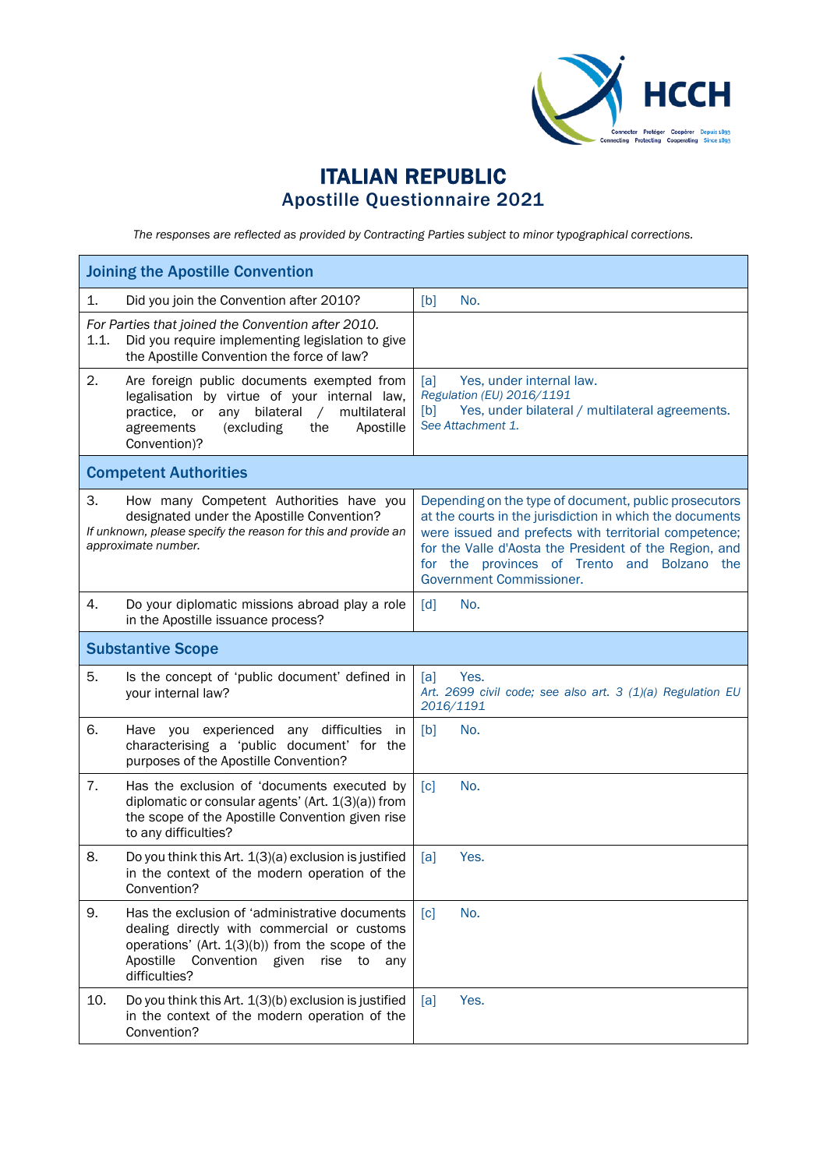

## ITALIAN REPUBLIC Apostille Questionnaire 2021

*The responses are reflected as provided by Contracting Parties subject to minor typographical corrections.*

| <b>Joining the Apostille Convention</b>                                                                                                                                                                                              |                                                                                                                                                                                                                                                                                                                 |  |  |  |
|--------------------------------------------------------------------------------------------------------------------------------------------------------------------------------------------------------------------------------------|-----------------------------------------------------------------------------------------------------------------------------------------------------------------------------------------------------------------------------------------------------------------------------------------------------------------|--|--|--|
| Did you join the Convention after 2010?<br>1.                                                                                                                                                                                        | [b]<br>No.                                                                                                                                                                                                                                                                                                      |  |  |  |
| For Parties that joined the Convention after 2010.<br>Did you require implementing legislation to give<br>1.1.<br>the Apostille Convention the force of law?                                                                         |                                                                                                                                                                                                                                                                                                                 |  |  |  |
| 2.<br>Are foreign public documents exempted from<br>legalisation by virtue of your internal law,<br>practice, or<br>bilateral<br>multilateral<br>any<br>$\sqrt{2}$<br>Apostille<br>agreements<br>(excluding<br>the<br>Convention)?   | Yes, under internal law.<br>[a]<br>Regulation (EU) 2016/1191<br>Yes, under bilateral / multilateral agreements.<br>[b]<br>See Attachment 1.                                                                                                                                                                     |  |  |  |
| <b>Competent Authorities</b>                                                                                                                                                                                                         |                                                                                                                                                                                                                                                                                                                 |  |  |  |
| З.<br>How many Competent Authorities have you<br>designated under the Apostille Convention?<br>If unknown, please specify the reason for this and provide an<br>approximate number.                                                  | Depending on the type of document, public prosecutors<br>at the courts in the jurisdiction in which the documents<br>were issued and prefects with territorial competence;<br>for the Valle d'Aosta the President of the Region, and<br>for the provinces of Trento and Bolzano the<br>Government Commissioner. |  |  |  |
| 4.<br>Do your diplomatic missions abroad play a role<br>in the Apostille issuance process?                                                                                                                                           | $\lceil d \rceil$<br>No.                                                                                                                                                                                                                                                                                        |  |  |  |
| <b>Substantive Scope</b>                                                                                                                                                                                                             |                                                                                                                                                                                                                                                                                                                 |  |  |  |
| 5.<br>Is the concept of 'public document' defined in<br>your internal law?                                                                                                                                                           | Yes.<br>[a]<br>Art. 2699 civil code; see also art. 3 (1)(a) Regulation EU<br>2016/1191                                                                                                                                                                                                                          |  |  |  |
| 6.<br>Have you experienced any difficulties in<br>characterising a 'public document' for the<br>purposes of the Apostille Convention?                                                                                                | [b]<br>No.                                                                                                                                                                                                                                                                                                      |  |  |  |
| 7.<br>Has the exclusion of 'documents executed by<br>diplomatic or consular agents' (Art. 1(3)(a)) from<br>the scope of the Apostille Convention given rise<br>to any difficulties?                                                  | No.<br>$\lceil c \rceil$                                                                                                                                                                                                                                                                                        |  |  |  |
| 8.<br>Do you think this Art. 1(3)(a) exclusion is justified<br>in the context of the modern operation of the<br>Convention?                                                                                                          | Yes.<br>[a]                                                                                                                                                                                                                                                                                                     |  |  |  |
| 9.<br>Has the exclusion of 'administrative documents<br>dealing directly with commercial or customs<br>operations' (Art. $1(3)(b)$ ) from the scope of the<br>Apostille<br>Convention<br>given<br>rise<br>to<br>any<br>difficulties? | No.<br>$\lceil c \rceil$                                                                                                                                                                                                                                                                                        |  |  |  |
| 10.<br>Do you think this Art. 1(3)(b) exclusion is justified<br>in the context of the modern operation of the<br>Convention?                                                                                                         | Yes.<br>[a]                                                                                                                                                                                                                                                                                                     |  |  |  |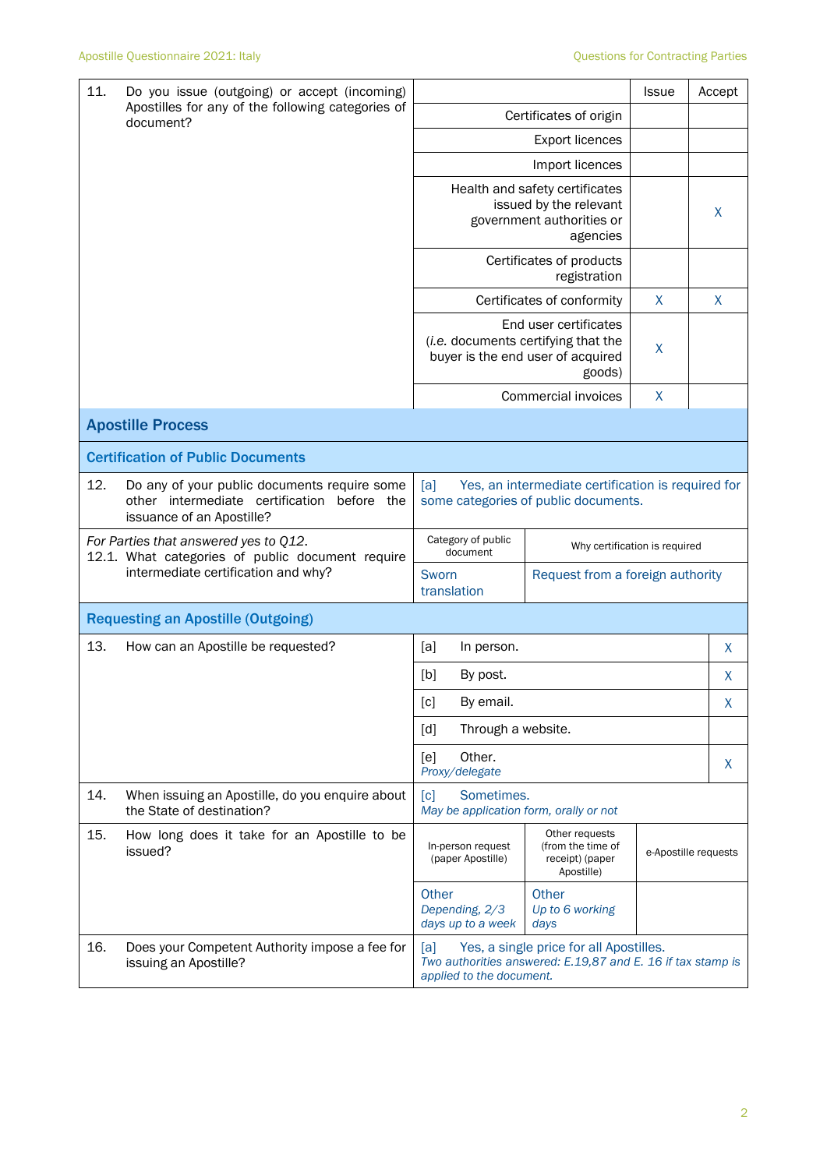| 11.                                                                                       | Do you issue (outgoing) or accept (incoming)                                                                                |                                                                                                                                                                                                                 | <b>Issue</b>                     | Accept |                      |  |
|-------------------------------------------------------------------------------------------|-----------------------------------------------------------------------------------------------------------------------------|-----------------------------------------------------------------------------------------------------------------------------------------------------------------------------------------------------------------|----------------------------------|--------|----------------------|--|
|                                                                                           | Apostilles for any of the following categories of<br>document?                                                              | Certificates of origin                                                                                                                                                                                          |                                  |        |                      |  |
|                                                                                           |                                                                                                                             |                                                                                                                                                                                                                 |                                  |        |                      |  |
|                                                                                           |                                                                                                                             |                                                                                                                                                                                                                 | Import licences                  |        |                      |  |
|                                                                                           |                                                                                                                             | Health and safety certificates<br>issued by the relevant<br>government authorities or                                                                                                                           |                                  | X      |                      |  |
|                                                                                           |                                                                                                                             | Certificates of products<br>registration                                                                                                                                                                        |                                  |        |                      |  |
|                                                                                           |                                                                                                                             |                                                                                                                                                                                                                 | Certificates of conformity       | X      | $\mathsf{X}% _{0}$   |  |
|                                                                                           |                                                                                                                             | End user certificates<br>(i.e. documents certifying that the<br>buyer is the end user of acquired                                                                                                               | $\sf X$                          |        |                      |  |
|                                                                                           |                                                                                                                             |                                                                                                                                                                                                                 | Commercial invoices              | X      |                      |  |
|                                                                                           | <b>Apostille Process</b>                                                                                                    |                                                                                                                                                                                                                 |                                  |        |                      |  |
|                                                                                           | <b>Certification of Public Documents</b>                                                                                    |                                                                                                                                                                                                                 |                                  |        |                      |  |
| 12.                                                                                       | Do any of your public documents require some<br>other intermediate certification<br>before the<br>issuance of an Apostille? | Yes, an intermediate certification is required for<br>[a]<br>some categories of public documents.                                                                                                               |                                  |        |                      |  |
| For Parties that answered yes to Q12.<br>12.1. What categories of public document require |                                                                                                                             | Category of public<br>Why certification is required<br>document                                                                                                                                                 |                                  |        |                      |  |
|                                                                                           | intermediate certification and why?                                                                                         | Sworn<br>translation                                                                                                                                                                                            | Request from a foreign authority |        |                      |  |
| <b>Requesting an Apostille (Outgoing)</b>                                                 |                                                                                                                             |                                                                                                                                                                                                                 |                                  |        |                      |  |
| 13.                                                                                       | How can an Apostille be requested?                                                                                          | [a]<br>In person.                                                                                                                                                                                               |                                  |        | X                    |  |
|                                                                                           |                                                                                                                             | [b]<br>By post.<br>X                                                                                                                                                                                            |                                  |        |                      |  |
|                                                                                           |                                                                                                                             | $[c] % \begin{center} % \includegraphics[width=\linewidth]{imagesSupplemental_3.png} % \end{center} % \caption { % Our method can be used for a different image. % } % \label{fig:example} %$<br>By email.<br>х |                                  |        |                      |  |
|                                                                                           |                                                                                                                             | Through a website.<br>[d]                                                                                                                                                                                       |                                  |        |                      |  |
|                                                                                           |                                                                                                                             | Other.<br>[e]<br>Proxy/delegate                                                                                                                                                                                 |                                  |        | X.                   |  |
| 14.                                                                                       | When issuing an Apostille, do you enquire about<br>the State of destination?                                                | Sometimes.<br>$\lceil c \rceil$<br>May be application form, orally or not                                                                                                                                       |                                  |        |                      |  |
| 15.                                                                                       | How long does it take for an Apostille to be<br>issued?                                                                     | Other requests<br>(from the time of<br>In-person request<br>(paper Apostille)<br>receipt) (paper<br>Apostille)                                                                                                  |                                  |        | e-Apostille requests |  |
|                                                                                           |                                                                                                                             | Other<br>Depending, 2/3<br>days up to a week                                                                                                                                                                    | Other<br>Up to 6 working<br>days |        |                      |  |
| 16.                                                                                       | Does your Competent Authority impose a fee for<br>issuing an Apostille?                                                     | Yes, a single price for all Apostilles.<br>lal<br>Two authorities answered: E.19,87 and E. 16 if tax stamp is<br>applied to the document.                                                                       |                                  |        |                      |  |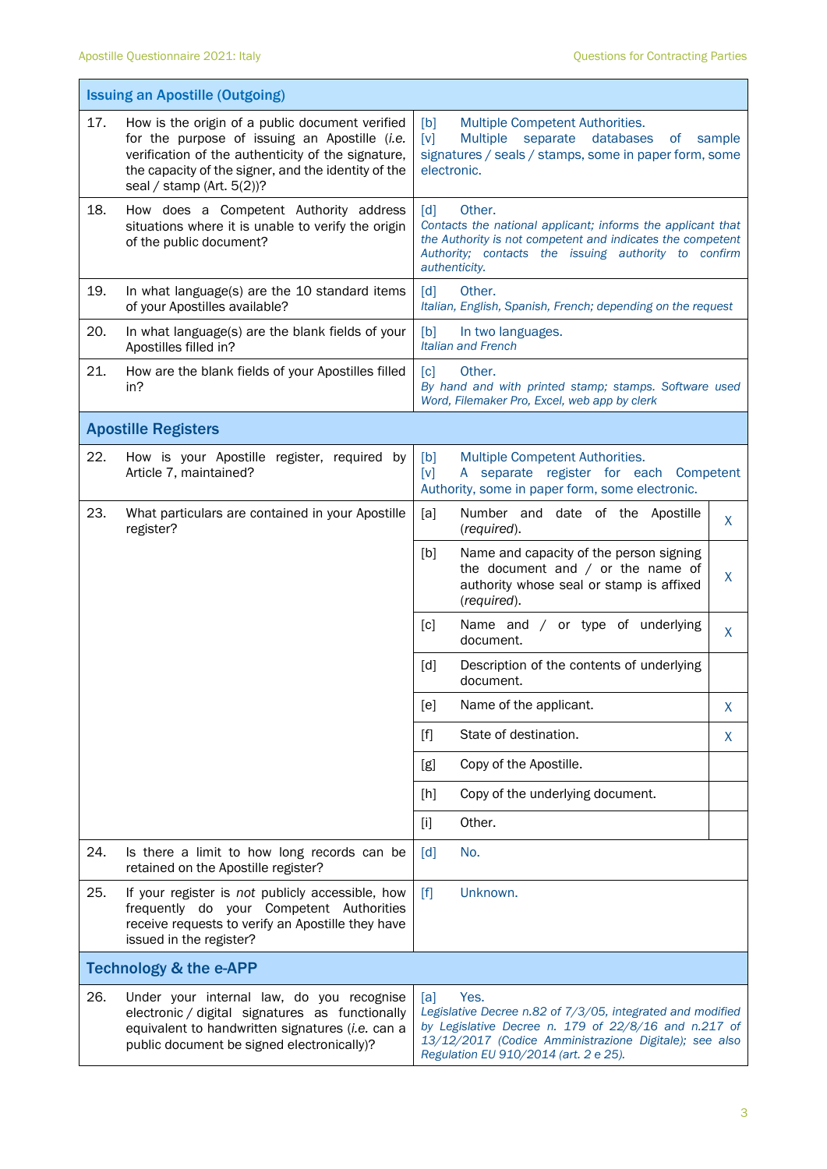|     | <b>Issuing an Apostille (Outgoing)</b>                                                                                                                                                                                                        |                                                                                                                                                                                                                                      |  |  |  |
|-----|-----------------------------------------------------------------------------------------------------------------------------------------------------------------------------------------------------------------------------------------------|--------------------------------------------------------------------------------------------------------------------------------------------------------------------------------------------------------------------------------------|--|--|--|
| 17. | How is the origin of a public document verified<br>for the purpose of issuing an Apostille (i.e.<br>verification of the authenticity of the signature,<br>the capacity of the signer, and the identity of the<br>seal / stamp (Art. $5(2)$ )? | Multiple Competent Authorities.<br>[b]<br>databases<br>[v]<br>Multiple<br>separate<br>0f<br>sample<br>signatures / seals / stamps, some in paper form, some<br>electronic.                                                           |  |  |  |
| 18. | How does a Competent Authority address<br>situations where it is unable to verify the origin<br>of the public document?                                                                                                                       | Other.<br>[d]<br>Contacts the national applicant; informs the applicant that<br>the Authority is not competent and indicates the competent<br>Authority; contacts the issuing authority to confirm<br>authenticity.                  |  |  |  |
| 19. | In what language(s) are the 10 standard items<br>of your Apostilles available?                                                                                                                                                                | $\lceil d \rceil$<br>Other.<br>Italian, English, Spanish, French; depending on the request                                                                                                                                           |  |  |  |
| 20. | In what language(s) are the blank fields of your<br>Apostilles filled in?                                                                                                                                                                     | [b]<br>In two languages.<br><b>Italian and French</b>                                                                                                                                                                                |  |  |  |
| 21. | How are the blank fields of your Apostilles filled<br>in?                                                                                                                                                                                     | $\lceil c \rceil$<br>Other.<br>By hand and with printed stamp; stamps. Software used<br>Word, Filemaker Pro, Excel, web app by clerk                                                                                                 |  |  |  |
|     | <b>Apostille Registers</b>                                                                                                                                                                                                                    |                                                                                                                                                                                                                                      |  |  |  |
| 22. | How is your Apostille register, required by<br>Article 7, maintained?                                                                                                                                                                         | [b]<br>Multiple Competent Authorities.<br>[v]<br>A separate register for each Competent<br>Authority, some in paper form, some electronic.                                                                                           |  |  |  |
| 23. | What particulars are contained in your Apostille<br>register?                                                                                                                                                                                 | Number and date of the Apostille<br>[a]<br>X<br>(required).                                                                                                                                                                          |  |  |  |
|     |                                                                                                                                                                                                                                               | [b]<br>Name and capacity of the person signing<br>the document and $/$ or the name of<br>X<br>authority whose seal or stamp is affixed<br>(required).                                                                                |  |  |  |
|     |                                                                                                                                                                                                                                               | Name and / or type of underlying<br>[c]<br>X<br>document.                                                                                                                                                                            |  |  |  |
|     |                                                                                                                                                                                                                                               | [d]<br>Description of the contents of underlying<br>document.                                                                                                                                                                        |  |  |  |
|     |                                                                                                                                                                                                                                               | [e]<br>Name of the applicant.<br>$\mathsf{X}$                                                                                                                                                                                        |  |  |  |
|     |                                                                                                                                                                                                                                               | State of destination.<br>$[f]$<br>X                                                                                                                                                                                                  |  |  |  |
|     |                                                                                                                                                                                                                                               | Copy of the Apostille.<br>[g]                                                                                                                                                                                                        |  |  |  |
|     |                                                                                                                                                                                                                                               | Copy of the underlying document.<br>[h]                                                                                                                                                                                              |  |  |  |
|     |                                                                                                                                                                                                                                               | Other.<br>$[1]$                                                                                                                                                                                                                      |  |  |  |
| 24. | Is there a limit to how long records can be<br>retained on the Apostille register?                                                                                                                                                            | No.<br>[d]                                                                                                                                                                                                                           |  |  |  |
| 25. | If your register is not publicly accessible, how<br>frequently do your Competent Authorities<br>receive requests to verify an Apostille they have<br>issued in the register?                                                                  | Unknown.<br>$[f]$                                                                                                                                                                                                                    |  |  |  |
|     | <b>Technology &amp; the e-APP</b>                                                                                                                                                                                                             |                                                                                                                                                                                                                                      |  |  |  |
| 26. | Under your internal law, do you recognise<br>electronic / digital signatures as functionally<br>equivalent to handwritten signatures (i.e. can a<br>public document be signed electronically)?                                                | Yes.<br>[a]<br>Legislative Decree n.82 of 7/3/05, integrated and modified<br>by Legislative Decree n. 179 of 22/8/16 and n.217 of<br>13/12/2017 (Codice Amministrazione Digitale); see also<br>Regulation EU 910/2014 (art. 2 e 25). |  |  |  |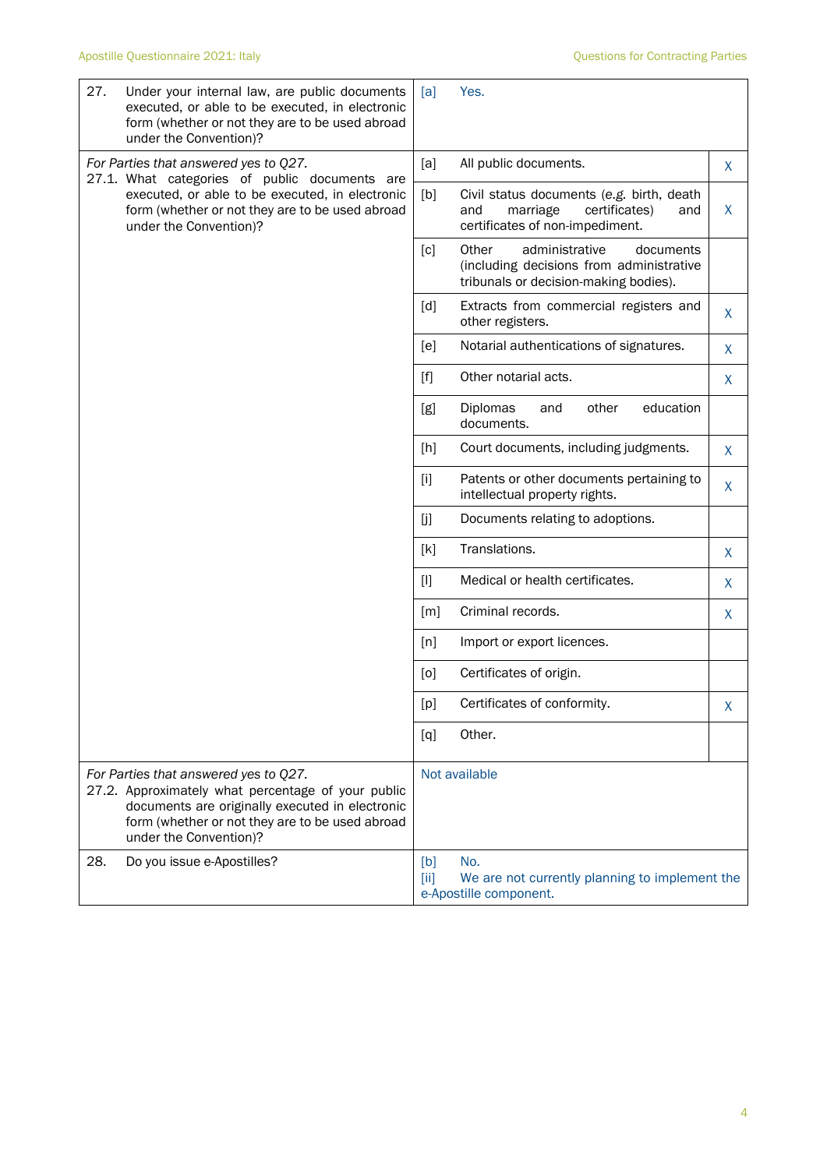| 27. | Under your internal law, are public documents<br>executed, or able to be executed, in electronic<br>form (whether or not they are to be used abroad<br>under the Convention)?                                               | [a]               | Yes.                                                                                                                      |   |
|-----|-----------------------------------------------------------------------------------------------------------------------------------------------------------------------------------------------------------------------------|-------------------|---------------------------------------------------------------------------------------------------------------------------|---|
|     | For Parties that answered yes to Q27.<br>27.1. What categories of public documents are                                                                                                                                      | [a]               | All public documents.                                                                                                     | X |
|     | executed, or able to be executed, in electronic<br>form (whether or not they are to be used abroad<br>under the Convention)?                                                                                                | [b]               | Civil status documents (e.g. birth, death<br>certificates)<br>and<br>marriage<br>and<br>certificates of non-impediment.   | X |
|     |                                                                                                                                                                                                                             | [c]               | Other<br>administrative<br>documents<br>(including decisions from administrative<br>tribunals or decision-making bodies). |   |
|     |                                                                                                                                                                                                                             | [d]               | Extracts from commercial registers and<br>other registers.                                                                | X |
|     |                                                                                                                                                                                                                             | [e]               | Notarial authentications of signatures.                                                                                   | X |
|     |                                                                                                                                                                                                                             | $[f]$             | Other notarial acts.                                                                                                      | X |
|     |                                                                                                                                                                                                                             | [g]               | Diplomas<br>other<br>education<br>and<br>documents.                                                                       |   |
|     |                                                                                                                                                                                                                             | [h]               | Court documents, including judgments.                                                                                     | X |
|     |                                                                                                                                                                                                                             | $[1]$             | Patents or other documents pertaining to<br>intellectual property rights.                                                 | X |
|     |                                                                                                                                                                                                                             | [j                | Documents relating to adoptions.                                                                                          |   |
|     |                                                                                                                                                                                                                             | [k]               | Translations.                                                                                                             | X |
|     |                                                                                                                                                                                                                             | $[1]$             | Medical or health certificates.                                                                                           | X |
|     |                                                                                                                                                                                                                             | $\lceil m \rceil$ | Criminal records.                                                                                                         | X |
|     |                                                                                                                                                                                                                             | [n]               | Import or export licences.                                                                                                |   |
|     |                                                                                                                                                                                                                             | [0]               | Certificates of origin.                                                                                                   |   |
|     |                                                                                                                                                                                                                             | [p]               | Certificates of conformity.                                                                                               | X |
|     |                                                                                                                                                                                                                             | [q]               | Other.                                                                                                                    |   |
|     | For Parties that answered yes to Q27.<br>27.2. Approximately what percentage of your public<br>documents are originally executed in electronic<br>form (whether or not they are to be used abroad<br>under the Convention)? |                   | Not available                                                                                                             |   |
| 28. | Do you issue e-Apostilles?                                                                                                                                                                                                  | [b]<br>[ii]       | No.<br>We are not currently planning to implement the<br>e-Apostille component.                                           |   |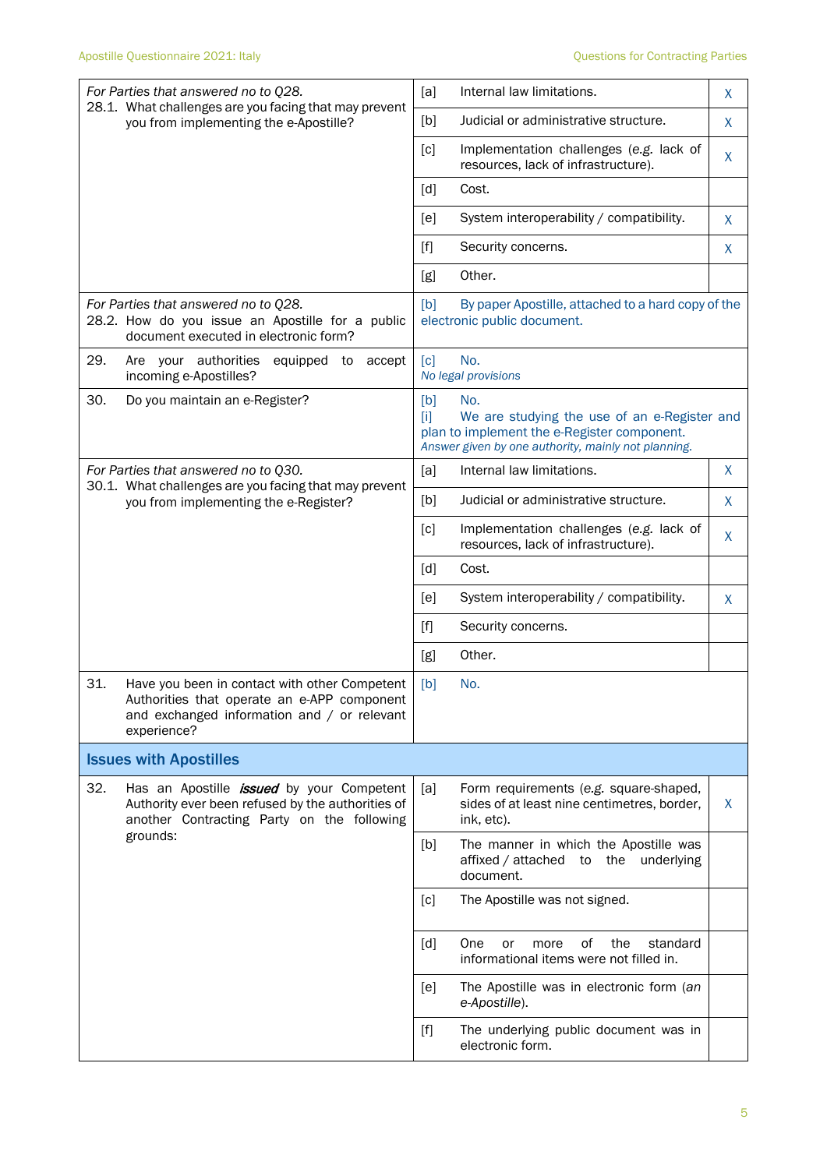|     | For Parties that answered no to Q28.<br>28.1. What challenges are you facing that may prevent                                                                   | [a]                                                                                                                                                                                                                                               | Internal law limitations.                                                                                                                                 | X |
|-----|-----------------------------------------------------------------------------------------------------------------------------------------------------------------|---------------------------------------------------------------------------------------------------------------------------------------------------------------------------------------------------------------------------------------------------|-----------------------------------------------------------------------------------------------------------------------------------------------------------|---|
|     | you from implementing the e-Apostille?                                                                                                                          | [b]                                                                                                                                                                                                                                               | Judicial or administrative structure.                                                                                                                     | X |
|     |                                                                                                                                                                 | [c]                                                                                                                                                                                                                                               | Implementation challenges (e.g. lack of<br>resources, lack of infrastructure).                                                                            | X |
|     |                                                                                                                                                                 | [d]                                                                                                                                                                                                                                               | Cost.                                                                                                                                                     |   |
|     |                                                                                                                                                                 | [e]                                                                                                                                                                                                                                               | System interoperability / compatibility.                                                                                                                  | Χ |
|     |                                                                                                                                                                 | $[f]$                                                                                                                                                                                                                                             | Security concerns.                                                                                                                                        | X |
|     |                                                                                                                                                                 | [g]                                                                                                                                                                                                                                               | Other.                                                                                                                                                    |   |
|     | For Parties that answered no to Q28.<br>28.2. How do you issue an Apostille for a public<br>document executed in electronic form?                               | [b]                                                                                                                                                                                                                                               | By paper Apostille, attached to a hard copy of the<br>electronic public document.                                                                         |   |
| 29. | Are your authorities<br>equipped<br>to<br>accept<br>incoming e-Apostilles?                                                                                      | $\lceil c \rceil$                                                                                                                                                                                                                                 | No.<br>No legal provisions                                                                                                                                |   |
| 30. | Do you maintain an e-Register?                                                                                                                                  | [b]<br>Ti1                                                                                                                                                                                                                                        | No.<br>We are studying the use of an e-Register and<br>plan to implement the e-Register component.<br>Answer given by one authority, mainly not planning. |   |
|     | For Parties that answered no to Q30.<br>30.1. What challenges are you facing that may prevent<br>you from implementing the e-Register?                          | [a]                                                                                                                                                                                                                                               | Internal law limitations.                                                                                                                                 | X |
|     |                                                                                                                                                                 | [b]                                                                                                                                                                                                                                               | Judicial or administrative structure.                                                                                                                     | Χ |
|     |                                                                                                                                                                 | [c]                                                                                                                                                                                                                                               | Implementation challenges (e.g. lack of<br>resources, lack of infrastructure).                                                                            | X |
|     |                                                                                                                                                                 | [d]                                                                                                                                                                                                                                               | Cost.                                                                                                                                                     |   |
|     |                                                                                                                                                                 | [e]                                                                                                                                                                                                                                               | System interoperability / compatibility.                                                                                                                  | X |
|     |                                                                                                                                                                 | $[f]$                                                                                                                                                                                                                                             | Security concerns.                                                                                                                                        |   |
|     |                                                                                                                                                                 | [g]                                                                                                                                                                                                                                               | Other.                                                                                                                                                    |   |
| 31. | Have you been in contact with other Competent<br>Authorities that operate an e-APP component<br>and exchanged information and / or relevant<br>experience?      | [b]                                                                                                                                                                                                                                               | No.                                                                                                                                                       |   |
|     | <b>Issues with Apostilles</b>                                                                                                                                   |                                                                                                                                                                                                                                                   |                                                                                                                                                           |   |
| 32. | Has an Apostille <i>issued</i> by your Competent<br>Authority ever been refused by the authorities of<br>another Contracting Party on the following<br>grounds: | [a]                                                                                                                                                                                                                                               | Form requirements (e.g. square-shaped,<br>sides of at least nine centimetres, border,<br>ink, etc).                                                       | X |
|     |                                                                                                                                                                 | [b]                                                                                                                                                                                                                                               | The manner in which the Apostille was<br>affixed / attached<br>the underlying<br>to<br>document.                                                          |   |
|     |                                                                                                                                                                 | [c]                                                                                                                                                                                                                                               | The Apostille was not signed.                                                                                                                             |   |
|     |                                                                                                                                                                 | [d]                                                                                                                                                                                                                                               | One<br>οf<br>the<br>standard<br>or<br>more<br>informational items were not filled in.                                                                     |   |
|     |                                                                                                                                                                 | [e]                                                                                                                                                                                                                                               | The Apostille was in electronic form (an<br>e-Apostille).                                                                                                 |   |
|     |                                                                                                                                                                 | $[f] % \begin{center} \includegraphics[width=\linewidth]{imagesSupplemental_3.png} \end{center} % \vspace*{-1em} \caption{The image shows the number of nodes of the two times, and the number of nodes of the two times.} \label{fig:example} %$ | The underlying public document was in<br>electronic form.                                                                                                 |   |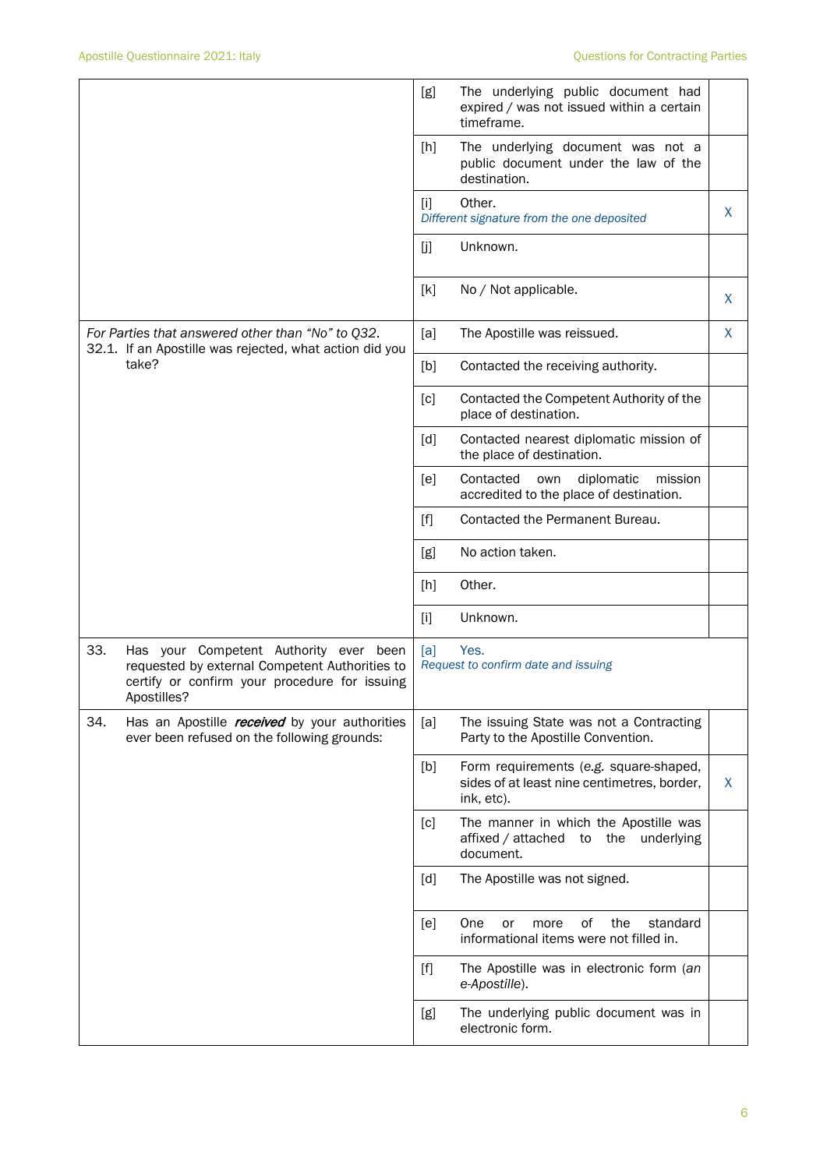|       |                                                                                                                                                          | [g]   | The underlying public document had<br>expired / was not issued within a certain<br>timeframe.       |   |
|-------|----------------------------------------------------------------------------------------------------------------------------------------------------------|-------|-----------------------------------------------------------------------------------------------------|---|
|       |                                                                                                                                                          | [h]   | The underlying document was not a<br>public document under the law of the<br>destination.           |   |
|       |                                                                                                                                                          | Ιij   | Other.<br>Different signature from the one deposited                                                | X |
|       |                                                                                                                                                          | [j]   | Unknown.                                                                                            |   |
|       |                                                                                                                                                          | [k]   | No / Not applicable.                                                                                | X |
|       | For Parties that answered other than "No" to Q32.<br>32.1. If an Apostille was rejected, what action did you                                             | [a]   | The Apostille was reissued.                                                                         | X |
| take? |                                                                                                                                                          | [b]   | Contacted the receiving authority.                                                                  |   |
|       |                                                                                                                                                          | [c]   | Contacted the Competent Authority of the<br>place of destination.                                   |   |
|       |                                                                                                                                                          | [d]   | Contacted nearest diplomatic mission of<br>the place of destination.                                |   |
|       |                                                                                                                                                          | [e]   | Contacted<br>diplomatic<br>own<br>mission<br>accredited to the place of destination.                |   |
|       |                                                                                                                                                          | $[f]$ | Contacted the Permanent Bureau.                                                                     |   |
|       |                                                                                                                                                          | [g]   | No action taken.                                                                                    |   |
|       |                                                                                                                                                          | [h]   | Other.                                                                                              |   |
|       |                                                                                                                                                          | $[1]$ | Unknown.                                                                                            |   |
| 33.   | Has your Competent Authority ever been<br>requested by external Competent Authorities to<br>certify or confirm your procedure for issuing<br>Apostilles? | [a]   | Yes.<br>Request to confirm date and issuing                                                         |   |
| 34.   | Has an Apostille received by your authorities<br>ever been refused on the following grounds:                                                             | [a]   | The issuing State was not a Contracting<br>Party to the Apostille Convention.                       |   |
|       |                                                                                                                                                          | [b]   | Form requirements (e.g. square-shaped,<br>sides of at least nine centimetres, border,<br>ink, etc). | X |
|       |                                                                                                                                                          | [c]   | The manner in which the Apostille was<br>affixed / attached to the underlying<br>document.          |   |
|       |                                                                                                                                                          | [d]   | The Apostille was not signed.                                                                       |   |
|       |                                                                                                                                                          | [e]   | of<br>One<br>the<br>standard<br>or<br>more<br>informational items were not filled in.               |   |
|       |                                                                                                                                                          | $[f]$ | The Apostille was in electronic form (an<br>e-Apostille).                                           |   |
|       |                                                                                                                                                          | [g]   | The underlying public document was in<br>electronic form.                                           |   |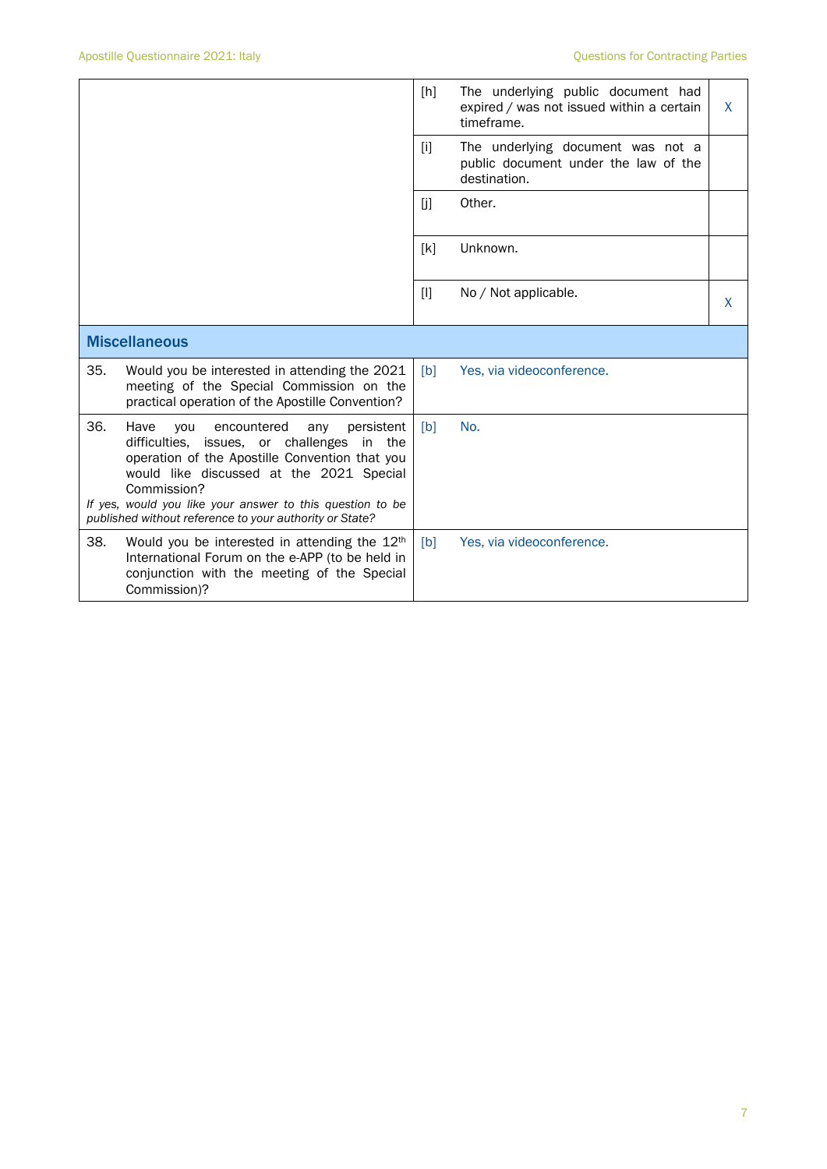|                      |                                                                                                                                                                                                                                                                                                                                       | [h]   | The underlying public document had<br>expired / was not issued within a certain<br>timeframe. | X |
|----------------------|---------------------------------------------------------------------------------------------------------------------------------------------------------------------------------------------------------------------------------------------------------------------------------------------------------------------------------------|-------|-----------------------------------------------------------------------------------------------|---|
|                      |                                                                                                                                                                                                                                                                                                                                       | $[1]$ | The underlying document was not a<br>public document under the law of the<br>destination.     |   |
|                      |                                                                                                                                                                                                                                                                                                                                       | [j]   | Other.                                                                                        |   |
|                      |                                                                                                                                                                                                                                                                                                                                       | [k]   | Unknown.                                                                                      |   |
|                      |                                                                                                                                                                                                                                                                                                                                       | [1]   | No / Not applicable.                                                                          | X |
| <b>Miscellaneous</b> |                                                                                                                                                                                                                                                                                                                                       |       |                                                                                               |   |
| 35.                  | Would you be interested in attending the 2021<br>meeting of the Special Commission on the<br>practical operation of the Apostille Convention?                                                                                                                                                                                         | [b]   | Yes, via videoconference.                                                                     |   |
| 36.                  | Have<br>encountered<br>persistent<br>you<br>any<br>difficulties, issues, or challenges<br>in the<br>operation of the Apostille Convention that you<br>would like discussed at the 2021 Special<br>Commission?<br>If yes, would you like your answer to this question to be<br>published without reference to your authority or State? | [b]   | No.                                                                                           |   |
| 38.                  | Would you be interested in attending the 12 <sup>th</sup><br>International Forum on the e-APP (to be held in<br>conjunction with the meeting of the Special<br>Commission)?                                                                                                                                                           | [b]   | Yes, via videoconference.                                                                     |   |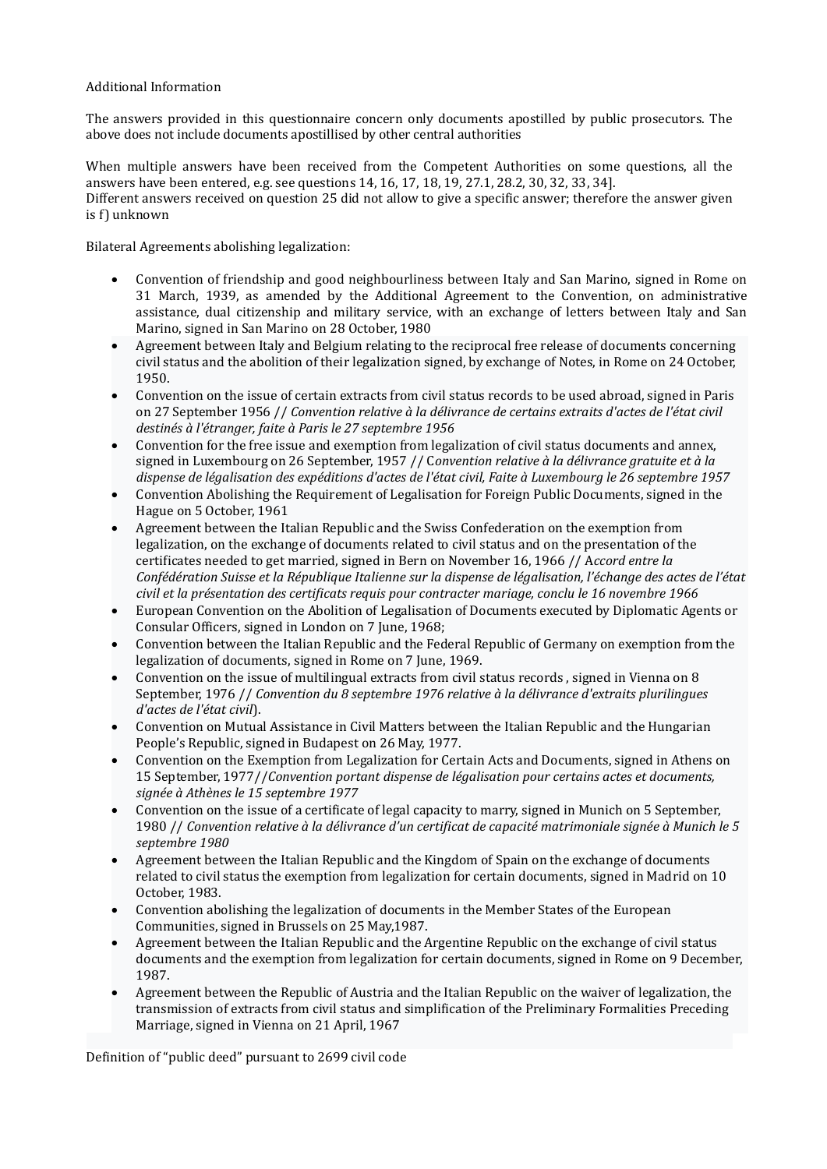## Additional Information

The answers provided in this questionnaire concern only documents apostilled by public prosecutors. The above does not include documents apostillised by other central authorities

When multiple answers have been received from the Competent Authorities on some questions, all the answers have been entered, e.g. see questions 14, 16, 17, 18, 19, 27.1, 28.2, 30, 32, 33, 34]. Different answers received on question 25 did not allow to give a specific answer; therefore the answer given is f) unknown

Bilateral Agreements abolishing legalization:

- Convention of friendship and good neighbourliness between Italy and San Marino, signed in Rome on 31 March, 1939, as amended by the Additional Agreement to the Convention, on administrative assistance, dual citizenship and military service, with an exchange of letters between Italy and San Marino, signed in San Marino on 28 October, 1980
- Agreement between Italy and Belgium relating to the reciprocal free release of documents concerning civil status and the abolition of their legalization signed, by exchange of Notes, in Rome on 24 October, 1950.
- Convention on the issue of certain extracts from civil status records to be used abroad, signed in Paris on 27 September 1956 // Convention relative à la délivrance de certains extraits d'actes de l'état civil destinés à l'étranger, faite à Paris le 27 septembre 1956
- Convention for the free issue and exemption from legalization of civil status documents and annex, signed in Luxembourg on 26 September, 1957 // Convention relative à la délivrance gratuite et à la dispense de légalisation des expéditions d'actes de l'état civil, Faite à Luxembourg le 26 septembre 1957
- Convention Abolishing the Requirement of Legalisation for Foreign Public Documents, signed in the Hague on 5 October, 1961
- Agreement between the Italian Republic and the Swiss Confederation on the exemption from legalization, on the exchange of documents related to civil status and on the presentation of the certificates needed to get married, signed in Bern on November 16, 1966 // Accord entre la Confédération Suisse et la République Italienne sur la dispense de légalisation, l'échange des actes de l'état civil et la présentation des certificats requis pour contracter mariage, conclu le 16 novembre 1966
- European Convention on the Abolition of Legalisation of Documents executed by Diplomatic Agents or Consular Officers, signed in London on 7 June, 1968;
- Convention between the Italian Republic and the Federal Republic of Germany on exemption from the legalization of documents, signed in Rome on 7 June, 1969.
- Convention on the issue of multilingual extracts from civil status records , signed in Vienna on 8 September, 1976 // Convention du 8 septembre 1976 relative à la délivrance d'extraits plurilingues d'actes de l'état civil).
- Convention on Mutual Assistance in Civil Matters between the Italian Republic and the Hungarian People's Republic, signed in Budapest on 26 May, 1977.
- Convention on the Exemption from Legalization for Certain Acts and Documents, signed in Athens on 15 September, 1977//Convention portant dispense de légalisation pour certains actes et documents, signée à Athènes le 15 septembre 1977
- Convention on the issue of a certificate of legal capacity to marry, signed in Munich on 5 September, 1980 // Convention relative à la délivrance d'un certificat de capacité matrimoniale signée à Munich le 5 septembre 1980
- Agreement between the Italian Republic and the Kingdom of Spain on the exchange of documents related to civil status the exemption from legalization for certain documents, signed in Madrid on 10 October, 1983.
- Convention abolishing the legalization of documents in the Member States of the European Communities, signed in Brussels on 25 May,1987.
- Agreement between the Italian Republic and the Argentine Republic on the exchange of civil status documents and the exemption from legalization for certain documents, signed in Rome on 9 December, 1987.
- Agreement between the Republic of Austria and the Italian Republic on the waiver of legalization, the transmission of extracts from civil status and simplification of the Preliminary Formalities Preceding Marriage, signed in Vienna on 21 April, 1967

Definition of "public deed" pursuant to 2699 civil code